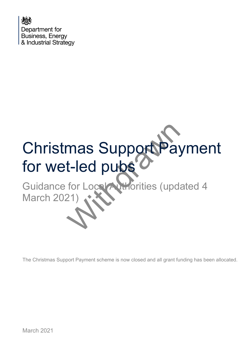

# mas SupportPay<br>t-led pubs<br>for Local Athorities (upd.<br>21) Christmas Support Payment for wet-led pubs

Guidance for Local Authorities (updated 4 March 2021)

The Christmas Support Payment scheme is now closed and all grant funding has been allocated.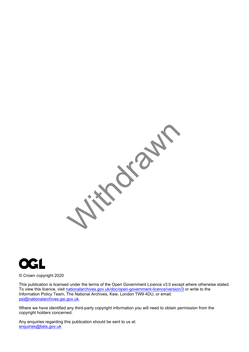



© Crown copyright 2020

This publication is licensed under the terms of the Open Government Licence v3.0 except where otherwise stated. To view this licence, visit [nationalarchives.gov.uk/doc/open-government-licence/version/3](http://nationalarchives.gov.uk/doc/open-government-licence/version/3/) or write to the Information Policy Team, The National Archives, Kew, London TW9 4DU, or email: [psi@nationalarchives.gsi.gov.uk.](mailto:psi@nationalarchives.gsi.gov.uk)

Where we have identified any third-party copyright information you will need to obtain permission from the copyright holders concerned.

Any enquiries regarding this publication should be sent to us at: [enquiries@beis.gov.uk](mailto:enquiries@beis.gov.uk)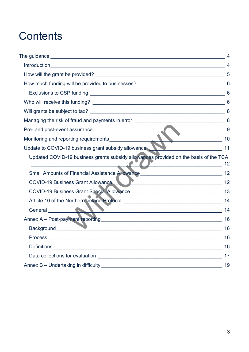# **Contents**

|                                                                                                                                                                                                                                                                                                          | 5  |
|----------------------------------------------------------------------------------------------------------------------------------------------------------------------------------------------------------------------------------------------------------------------------------------------------------|----|
|                                                                                                                                                                                                                                                                                                          |    |
|                                                                                                                                                                                                                                                                                                          | 6  |
|                                                                                                                                                                                                                                                                                                          |    |
|                                                                                                                                                                                                                                                                                                          |    |
|                                                                                                                                                                                                                                                                                                          |    |
| Pre- and post-event assurance 9                                                                                                                                                                                                                                                                          |    |
| Monitoring and reporting requirements<br>Lindate to COVID 40 busi<br>$\sim$ 10                                                                                                                                                                                                                           |    |
| Update to COVID-19 business grant subsidy allowance                                                                                                                                                                                                                                                      |    |
| Updated COVID-19 business grants subsidy allowances provided on the basis of the TCA<br>$\sim$ 12<br><u> 1989 - Johann Barbara, martin din shekara 1989 - A</u>                                                                                                                                          |    |
| Small Amounts of Financial Assistance Allowance ________________________________                                                                                                                                                                                                                         | 12 |
| COVID-19 Business Grant Allowance                                                                                                                                                                                                                                                                        |    |
| COVID-19 Business Grant Special Allowance [19] [19] Decision of the Special Allowance [19] Decision of the Special Allowance [19] Decision of the Special Allowance [19] Decision of the Special Allowance [19] Decision of th                                                                           | 13 |
|                                                                                                                                                                                                                                                                                                          |    |
| $\sqrt{2}$<br>General <b>All Advisors</b>                                                                                                                                                                                                                                                                | 14 |
|                                                                                                                                                                                                                                                                                                          | 16 |
| $\sum_{i=1}^{n}$ and $\sum_{i=1}^{n}$ and $\sum_{i=1}^{n}$ and $\sum_{i=1}^{n}$ and $\sum_{i=1}^{n}$ and $\sum_{i=1}^{n}$ and $\sum_{i=1}^{n}$ and $\sum_{i=1}^{n}$ and $\sum_{i=1}^{n}$ and $\sum_{i=1}^{n}$ and $\sum_{i=1}^{n}$ and $\sum_{i=1}^{n}$ and $\sum_{i=1}^{n}$ and<br>Background__________ | 16 |
|                                                                                                                                                                                                                                                                                                          | 16 |
|                                                                                                                                                                                                                                                                                                          | 16 |
|                                                                                                                                                                                                                                                                                                          | 17 |
|                                                                                                                                                                                                                                                                                                          | 19 |
|                                                                                                                                                                                                                                                                                                          |    |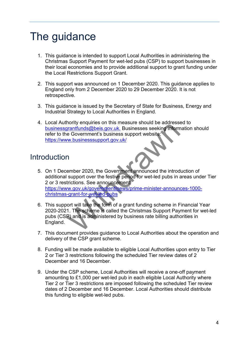# <span id="page-3-0"></span>The guidance

- 1. This guidance is intended to support Local Authorities in administering the Christmas Support Payment for wet-led pubs (CSP) to support businesses in their local economies and to provide additional support to grant funding under the Local Restrictions Support Grant.
- 2. This support was announced on 1 December 2020. This guidance applies to England only from 2 December 2020 to 29 December 2020. It is not retrospective.
- 3. This guidance is issued by the Secretary of State for Business, Energy and Industrial Strategy to Local Authorities in England.
- 4. Local Authority enquiries on this measure should be addressed to [businessgrantfunds@beis.gov.uk.](mailto:businessgrantfunds@beis.gov.uk.) Businesses seeking information should refer to the Government's business support website: https://www.businesssupport.gov.uk/

# <span id="page-3-1"></span>**Introduction**

- Transformer and the setting mention of the setting information of the Government's businesses seeking informed the Government's business support website:<br>W.businesssupport.gov.uk/<br>W.businesssupport.gov.uk/<br>M.papport over t 5. On 1 December 2020, the Government announced the introduction of additional support over the festive period for wet-led pubs in areas under Tier 2 or 3 restrictions. See announcement: [https://www.gov.uk/government/news/prime-minister-announces-1000](https://www.gov.uk/government/news/prime-minister-announces-1000-christmas-grant-for-wet-led-pubs) christmas-grant-for-wet-led-pubs
- 6. This support will take the form of a grant funding scheme in Financial Year 2020-2021. The scheme is called the Christmas Support Payment for wet-led pubs (CSP) and is administered by business rate billing authorities in England.
- 7. This document provides guidance to Local Authorities about the operation and delivery of the CSP grant scheme.
- 8. Funding will be made available to eligible Local Authorities upon entry to Tier 2 or Tier 3 restrictions following the scheduled Tier review dates of 2 December and 16 December.
- 9. Under the CSP scheme, Local Authorities will receive a one-off payment amounting to £1,000 per wet-led pub in each eligible Local Authority where Tier 2 or Tier 3 restrictions are imposed following the scheduled Tier review dates of 2 December and 16 December. Local Authorities should distribute this funding to eligible wet-led pubs.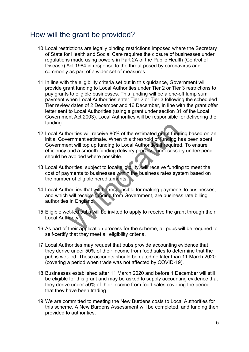## <span id="page-4-0"></span>How will the grant be provided?

- 10. Local restrictions are legally binding restrictions imposed where the Secretary of State for Health and Social Care requires the closure of businesses under regulations made using powers in Part 2A of the Public Health (Control of Disease) Act 1984 in response to the threat posed by coronavirus and commonly as part of a wider set of measures.
- 11. In line with the eligibility criteria set out in this guidance, Government will provide grant funding to Local Authorities under Tier 2 or Tier 3 restrictions to pay grants to eligible businesses. This funding will be a one-off lump sum payment when Local Authorities enter Tier 2 or Tier 3 following the scheduled Tier review dates of 2 December and 16 December, in line with the grant offer letter sent to Local Authorities (using a grant under section 31 of the Local Government Act 2003). Local Authorities will be responsible for delivering the funding.
- horities will receive 80% of the estimated grant fund<br>vernment estimate. When this threshold of funding hent will top up funding to Local Authorities if require<br>and a smooth funding delivery process. unnecessa<br>e avoided wh 12.Local Authorities will receive 80% of the estimated grant funding based on an initial Government estimate. When this threshold of funding has been spent, Government will top up funding to Local Authorities if required. To ensure efficiency and a smooth funding delivery process, unnecessary underspend should be avoided where possible.
- 13.Local Authorities, subject to local eligibility, will receive funding to meet the cost of payments to businesses within the business rates system based on the number of eligible hereditaments.
- 14.Local Authorities that will be responsible for making payments to businesses, and which will receive funding from Government, are business rate billing authorities in England.
- 15.Eligible wet-led pubs will be invited to apply to receive the grant through their Local Authority.
- 16.As part of their application process for the scheme, all pubs will be required to self-certify that they meet all eligibility criteria.
- 17.Local Authorities may request that pubs provide accounting evidence that they derive under 50% of their income from food sales to determine that the pub is wet-led. These accounts should be dated no later than 11 March 2020 (covering a period when trade was not affected by COVID-19).
- 18.Businesses established after 11 March 2020 and before 1 December will still be eligible for this grant and may be asked to supply accounting evidence that they derive under 50% of their income from food sales covering the period that they have been trading.
- 19.We are committed to meeting the New Burdens costs to Local Authorities for this scheme. A New Burdens Assessment will be completed, and funding then provided to authorities.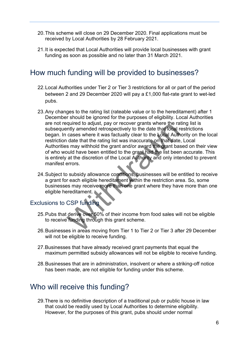- 20.This scheme will close on 29 December 2020. Final applications must be received by Local Authorities by 28 February 2021.
- 21.It is expected that Local Authorities will provide local businesses with grant funding as soon as possible and no later than 31 March 2021.

# <span id="page-5-0"></span>How much funding will be provided to businesses?

- 22.Local Authorities under Tier 2 or Tier 3 restrictions for all or part of the period between 2 and 29 December 2020 will pay a £1,000 flat-rate grant to wet-led pubs.
- relative to any of recover grants where the raintly amended retrospectively to the date that local r<br>cases where it was factually clear to the Local Author<br>take that the rating list was inaccurate on that date<br>is may withh 23.Any changes to the rating list (rateable value or to the hereditament) after 1 December should be ignored for the purposes of eligibility. Local Authorities are not required to adjust, pay or recover grants where the rating list is subsequently amended retrospectively to the date that local restrictions began. In cases where it was factually clear to the Local Authority on the local restriction date that the rating list was inaccurate on that date, Local Authorities may withhold the grant and/or award the grant based on their view of who would have been entitled to the grant had the list been accurate. This is entirely at the discretion of the Local Authority and only intended to prevent manifest errors.
- 24.Subject to subsidy allowance conditions, businesses will be entitled to receive a grant for each eligible hereditament within the restriction area. So, some businesses may receive more than one grant where they have more than one eligible hereditament.

#### <span id="page-5-1"></span>Exclusions to CSP funding

- 25.Pubs that derive over 50% of their income from food sales will not be eligible to receive funding through this grant scheme.
- 26.Businesses in areas moving from Tier 1 to Tier 2 or Tier 3 after 29 December will not be eligible to receive funding.
- 27.Businesses that have already received grant payments that equal the maximum permitted subsidy allowances will not be eligible to receive funding.
- 28. Businesses that are in administration, insolvent or where a striking-off notice has been made, are not eligible for funding under this scheme.

## <span id="page-5-2"></span>Who will receive this funding?

29.There is no definitive description of a traditional pub or public house in law that could be readily used by Local Authorities to determine eligibility. However, for the purposes of this grant, pubs should under normal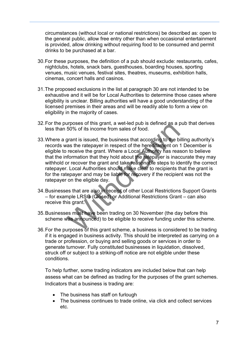circumstances (without local or national restrictions) be described as: open to the general public, allow free entry other than when occasional entertainment is provided, allow drinking without requiring food to be consumed and permit drinks to be purchased at a bar.

- 30.For these purposes, the definition of a pub should exclude: restaurants, cafes, nightclubs, hotels, snack bars, guesthouses, boarding houses, sporting venues, music venues, festival sites, theatres, museums, exhibition halls, cinemas, concert halls and casinos.
- 31.The proposed exclusions in the list at paragraph 30 are not intended to be exhaustive and it will be for Local Authorities to determine those cases where eligibility is unclear. Billing authorities will have a good understanding of the licensed premises in their areas and will be readily able to form a view on eligibility in the majority of cases.
- 32.For the purposes of this grant, a wet-led pub is defined as a pub that derives less than 50% of its income from sales of food.
- all posses of this grant, a wet-led pub is defined as a process of this grant, a wet-led pub is defined as a probable for the brass the ratepayer in respect of the hereditament on receive the grant. Where a Local Authority 33.Where a grant is issued, the business that according to the billing authority's records was the ratepayer in respect of the hereditament on 1 December is eligible to receive the grant. Where a Local Authority has reason to believe that the information that they hold about the ratepayer is inaccurate they may withhold or recover the grant and take reasonable steps to identify the correct ratepayer. Local Authorities should make clear to recipients that the grant is for the ratepayer and may be liable for recovery if the recipient was not the ratepayer on the eligible day.
- 34.Businesses that are also in receipt of other Local Restrictions Support Grants – for example LRSG (Closed) or Additional Restrictions Grant – can also receive this grant.
- 35.Businesses must have been trading on 30 November (the day before this scheme was announced) to be eligible to receive funding under this scheme.
- 36.For the purposes of this grant scheme, a business is considered to be trading if it is engaged in business activity. This should be interpreted as carrying on a trade or profession, or buying and selling goods or services in order to generate turnover. Fully constituted businesses in liquidation, dissolved, struck off or subject to a striking-off notice are not eligible under these conditions.

To help further, some trading indicators are included below that can help assess what can be defined as trading for the purposes of the grant schemes. Indicators that a business is trading are:

- The business has staff on furlough
- The business continues to trade online, via click and collect services etc.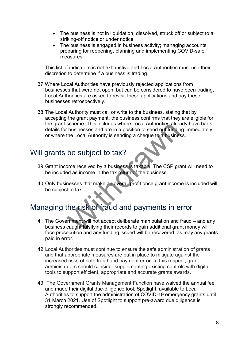- The business is not in liquidation, dissolved, struck off or subject to a striking-off notice or under notice
- The business is engaged in business activity; managing accounts, preparing for reopening, planning and implementing COVID-safe measures

This list of indicators is not exhaustive and Local Authorities must use their discretion to determine if a business is trading.

- 37.Where Local Authorities have previously rejected applications from businesses that were not open, but can be considered to have been trading, Local Authorities are asked to revisit these applications and pay these businesses retrospectively.
- 38.The Local Authority must call or write to the business, stating that by accepting the grant payment, the business confirms that they are eligible for the grant scheme. This includes where Local Authorities already have bank details for businesses and are in a position to send out funding immediately, or where the Local Authority is sending a cheque to a business.

# <span id="page-7-0"></span>Will grants be subject to tax?

- 39.Grant income received by a business is taxable. The CSP grant will need to be included as income in the tax return of the business.
- 40.Only businesses that make an overall profit once grant income is included will be subject to tax.

# <span id="page-7-1"></span>Managing the risk of fraud and payments in error

- scheme. This includes where Local Authorities area<br>
the Local Authority is sending a cheque to a busines<br>
the Local Authority is sending a cheque to a busines<br>
be subject to tax?<br>
ome received by a business is taxable. The 41.The Government will not accept deliberate manipulation and fraud – and any business caught falsifying their records to gain additional grant money will face prosecution and any funding issued will be recovered, as may any grants paid in error.
- 42.Local Authorities must continue to ensure the safe administration of grants and that appropriate measures are put in place to mitigate against the increased risks of both fraud and payment error. In this respect, grant administrators should consider supplementing existing controls with digital tools to support efficient, appropriate and accurate grants awards.
- 43. The Government Grants Management Function have waived the annual fee and made their digital due-diligence tool, Spotlight, available to Local Authorities to support the administration of COVID-19 emergency grants until 31 March 2021. Use of Spotlight to support pre-award due diligence is strongly recommended.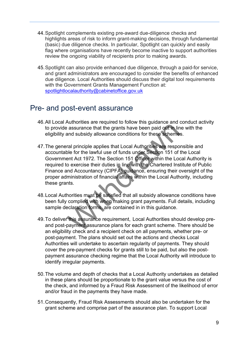- 44.Spotlight complements existing pre-award due-diligence checks and highlights areas of risk to inform grant-making decisions, through fundamental (basic) due diligence checks. In particular, Spotlight can quickly and easily flag where organisations have recently become inactive to support authorities review the ongoing viability of recipients prior to making awards.
- 45.Spotlight can also provide enhanced due diligence, through a paid-for service, and grant administrators are encouraged to consider the benefits of enhanced due diligence. Local Authorities should discuss their digital tool requirements with the Government Grants Management Function at: [spotlightlocalauthority@cabinetoffice.gov.uk](mailto:spotlightlocalauthority@cabinetoffice.gov.uk)

### <span id="page-8-0"></span>Pre- and post-event assurance

- 46.All Local Authorities are required to follow this guidance and conduct activity to provide assurance that the grants have been paid out in line with the eligibility and subsidy allowance conditions for these schemes.
- Numerous are considered by the sasurance that the grants have been paid out in linear<br>and subsidy allowance conditions for these schemes<br>ral principle applies that Local Authorities are respo<br>ble for the lawful use of fund 47.The general principle applies that Local Authorities are responsible and accountable for the lawful use of funds under Section 151 of the Local Government Act 1972. The Section 151 Officer within the Local Authority is required to exercise their duties in line with the Chartered Institute of Public Finance and Accountancy (CIPFA) guidance, ensuring their oversight of the proper administration of financial affairs within the Local Authority, including these grants.
- 48.Local Authorities must be satisfied that all subsidy allowance conditions have been fully complied with when making grant payments. Full details, including sample declaration forms, are contained in in this guidance.
- 49.To deliver this assurance requirement, Local Authorities should develop preand post-payment assurance plans for each grant scheme. There should be an eligibility check and a recipient check on all payments, whether pre- or post-payment. The plans should set out the actions and checks Local Authorities will undertake to ascertain regularity of payments. They should cover the pre-payment checks for grants still to be paid, but also the postpayment assurance checking regime that the Local Authority will introduce to identify irregular payments.
- 50.The volume and depth of checks that a Local Authority undertakes as detailed in these plans should be proportionate to the grant value versus the cost of the check, and informed by a Fraud Risk Assessment of the likelihood of error and/or fraud in the payments they have made.
- 51.Consequently, Fraud Risk Assessments should also be undertaken for the grant scheme and comprise part of the assurance plan. To support Local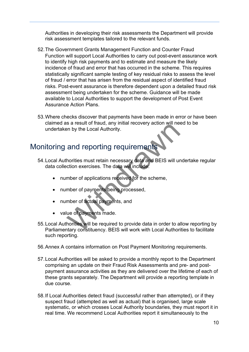Authorities in developing their risk assessments the Department will provide risk assessment templates tailored to the relevant funds.

- 52.The Government Grants Management Function and Counter Fraud Function will support Local Authorities to carry out post-event assurance work to identify high risk payments and to estimate and measure the likely incidence of fraud and error that has occurred in the scheme. This requires statistically significant sample testing of key residual risks to assess the level of fraud / error that has arisen from the residual aspect of identified fraud risks. Post-event assurance is therefore dependent upon a detailed fraud risk assessment being undertaken for the scheme. Guidance will be made available to Local Authorities to support the development of Post Event Assurance Action Plans.
- 53.Where checks discover that payments have been made in error or have been claimed as a result of fraud, any initial recovery action will need to be undertaken by the Local Authority.

# <span id="page-9-0"></span>Monitoring and reporting requirements

- 54.Local Authorities must retain necessary data and BEIS will undertake regular data collection exercises. The data will include:
	- number of applications received for the scheme,
	- number of payments being processed,
	- number of actual payments, and
	- value of payments made.
- Franchise Sales and Teporting Tequirements<br>and reporting requirements<br>horities must retain necessary data and BEIS will unction exercises. The data will include.<br>mber of applications received for the scheme,<br>mber of paymen 55.Local Authorities will be required to provide data in order to allow reporting by Parliamentary constituency. BEIS will work with Local Authorities to facilitate such reporting.
- 56.Annex A contains information on Post Payment Monitoring requirements.
- 57.Local Authorities will be asked to provide a monthly report to the Department comprising an update on their Fraud Risk Assessments and pre- and postpayment assurance activities as they are delivered over the lifetime of each of these grants separately. The Department will provide a reporting template in due course.
- 58.If Local Authorities detect fraud (successful rather than attempted), or if they suspect fraud (attempted as well as actual) that is organised, large scale systematic, or which crosses Local Authority boundaries, they must report it in real time. We recommend Local Authorities report it simultaneously to the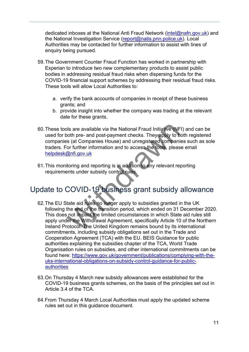dedicated inboxes at the National Anti Fraud Network [\(intel@nafn.gov.uk\)](mailto:intel@nafn.gov.uk) and the National Investigation Service [\(report@natis.pnn.police.uk\)](mailto:report@natis.pnn.police.uk). Local Authorities may be contacted for further information to assist with lines of enquiry being pursued.

- 59.The Government Counter Fraud Function has worked in partnership with Experian to introduce two new complementary products to assist public bodies in addressing residual fraud risks when dispersing funds for the COVID-19 financial support schemes by addressing their residual fraud risks. These tools will allow Local Authorities to:
	- a. verify the bank accounts of companies in receipt of these business grants; and
	- b. provide insight into whether the company was trading at the relevant date for these grants.
- 60.These tools are available via the National Fraud Initiative (NFI) and can be used for both pre- and post-payment checks. They apply to both registered companies (at Companies House) and unregistered companies such as sole traders. For further information and to access the tools, please email [helpdesk@nfi.gov.uk](mailto:helpdesk@nfi.gov.uk)
- 61.This monitoring and reporting is in addition to any relevant reporting requirements under subsidy control rules.

# <span id="page-10-0"></span>Update to COVID-19 business grant subsidy allowance

- bls are available via the National Fraud Initiative (NF<br>
both pre- and post-payment checks. They apply to b<br>
s (at Companies House) and unregistered companii<br>
or further information and to access the tools, pleas<br>
<u>@nfi.go</u> 62.The EU State aid rules no longer apply to subsidies granted in the UK following the end of the transition period, which ended on 31 December 2020. This does not impact the limited circumstances in which State aid rules still apply under the Withdrawal Agreement, specifically Article 10 of the Northern Ireland Protocol. The United Kingdom remains bound by its international commitments, including subsidy obligations set out in the Trade and Cooperation Agreement (TCA) with the EU. BEIS Guidance for public authorities explaining the subsidies chapter of the TCA, World Trade Organisation rules on subsidies, and other international commitments can be found here: [https://www.gov.uk/government/publications/complying-with-the](https://www.gov.uk/government/publications/complying-with-the-uks-international-obligations-on-subsidy-control-guidance-for-public-authorities)[uks-international-obligations-on-subsidy-control-guidance-for-public](https://www.gov.uk/government/publications/complying-with-the-uks-international-obligations-on-subsidy-control-guidance-for-public-authorities)[authorities](https://www.gov.uk/government/publications/complying-with-the-uks-international-obligations-on-subsidy-control-guidance-for-public-authorities)
- 63. On Thursday 4 March new subsidy allowances were established for the COVID-19 business grants schemes, on the basis of the principles set out in Article 3.4 of the TCA.
- 64.From Thursday 4 March Local Authorities must apply the updated scheme rules set out in this guidance document.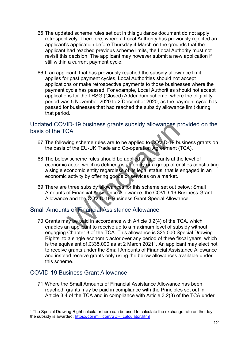- 65.The updated scheme rules set out in this guidance document do not apply retrospectively. Therefore, where a Local Authority has previously rejected an applicant's application before Thursday 4 March on the grounds that the applicant had reached previous scheme limits, the Local Authority must not revisit this decision. The applicant may however submit a new application if still within a current payment cycle.
- 66.If an applicant, that has previously reached the subsidy allowance limit, applies for past payment cycles, Local Authorities should not accept applications or make retrospective payments to those businesses where the payment cycle has passed. For example, Local Authorities should not accept applications for the LRSG (Closed) Addendum scheme, where the eligibility period was 5 November 2020 to 2 December 2020, as the payment cycle has passed for businesses that had reached the subsidy allowance limit during that period.

#### <span id="page-11-0"></span>Updated COVID-19 business grants subsidy allowances provided on the basis of the TCA

- 67.The following scheme rules are to be applied to COVID-19 business grants on the basis of the EU-UK Trade and Co-operation Agreement (TCA).
- ID-19 business grants subsidy allowances p<br>CA<br>wing scheme rules are to be applied to COVID-19 bu<br>of the EU-UK Trade and Co-operation Agreement (<br>v scheme rules should be applied to applicants at th<br>cator, which is defined 68.The below scheme rules should be applied to applicants at the level of economic actor, which is defined as an entity or a group of entities constituting a single economic entity regardless of its legal status, that is engaged in an economic activity by offering goods or services on a market.
- 69.There are three subsidy allowances for this scheme set out below: Small Amounts of Financial Assistance Allowance, the COVID-19 Business Grant Allowance and the COVID-19 Business Grant Special Allowance.

#### <span id="page-11-1"></span>Small Amounts of Financial Assistance Allowance

70.Grants may be paid in accordance with Article 3.2(4) of the TCA, which enables an applicant to receive up to a maximum level of subsidy without engaging Chapter 3 of the TCA. This allowance is 325,000 Special Drawing Rights, to a single economic actor over any period of three fiscal years, which is the equivalent of £335,000 as at 2 March 2021[1.](#page-11-3) An applicant may elect not to receive grants under the Small Amounts of Financial Assistance Allowance and instead receive grants only using the below allowances available under this scheme.

#### <span id="page-11-2"></span>COVID-19 Business Grant Allowance

71.Where the Small Amounts of Financial Assistance Allowance has been reached, grants may be paid in compliance with the Principles set out in Article 3.4 of the TCA and in compliance with Article 3.2(3) of the TCA under

<span id="page-11-3"></span><sup>&</sup>lt;sup>1</sup> The Special Drawing Right calculator here can be used to calculate the exchange rate on the day the subsidy is awarded: [https://coinmill.com/SDR\\_calculator.html](https://coinmill.com/SDR_calculator.html)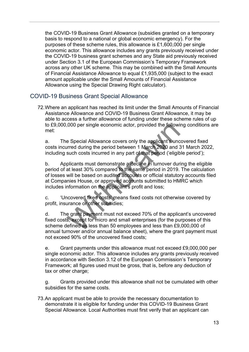the COVID-19 Business Grant Allowance (subsidies granted on a temporary basis to respond to a national or global economic emergency). For the purposes of these scheme rules, this allowance is £1,600,000 per single economic actor. This allowance includes any grants previously received under the COVID-19 business grant schemes and any State aid previously received under Section 3.1 of the European Commission's Temporary Framework across any other UK scheme. This may be combined with the Small Amounts of Financial Assistance Allowance to equal £1,935,000 (subject to the exact amount applicable under the Small Amounts of Financial Assistance Allowance using the Special Drawing Right calculator).

#### <span id="page-12-0"></span>COVID-19 Business Grant Special Allowance

72. Where an applicant has reached its limit under the Small Amounts of Financial Assistance Allowance and COVID-19 Business Grant Allowance, it may be able to access a further allowance of funding under these scheme rules of up to £9,000,000 per single economic actor, provided the following conditions are met:

a. The Special Allowance covers only the applicant's uncovered fixed costs incurred during the period between 1 March 2020 and 31 March 2022, including such costs incurred in any part of that period ('eligible period');

,000 per single economic actor, provided the followine expecial Allowance covers only the applicant's uncorred during the period between 1 March 2020 and 3 such costs incurred in any part of that period ('eligible plicants b. Applicants must demonstrate a decline in turnover during the eligible period of at least 30% compared to the same period in 2019. The calculation of losses will be based on audited accounts or official statutory accounts filed at Companies House, or approved accounts submitted to HMRC which includes information on the applicant's profit and loss;

c. 'Uncovered fixed costs' means fixed costs not otherwise covered by profit, insurance or other subsidies;

d. The grant payment must not exceed 70% of the applicant's uncovered fixed costs, except for micro and small enterprises (for the purposes of this scheme defined as less than 50 employees and less than £9,000,000 of annual turnover and/or annual balance sheet), where the grant payment must not exceed 90% of the uncovered fixed costs;

e. Grant payments under this allowance must not exceed £9,000,000 per single economic actor. This allowance includes any grants previously received in accordance with Section 3.12 of the European Commission's Temporary Framework; all figures used must be gross, that is, before any deduction of tax or other charge;

g. Grants provided under this allowance shall not be cumulated with other subsidies for the same costs.

73.An applicant must be able to provide the necessary documentation to demonstrate it is eligible for funding under this COVID-19 Business Grant Special Allowance. Local Authorities must first verify that an applicant can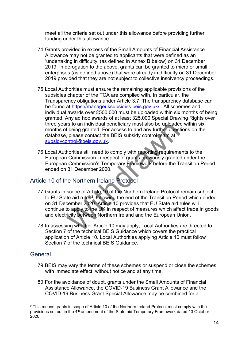meet all the criteria set out under this allowance before providing further funding under this allowance.

- 74.Grants provided in excess of the Small Amounts of Financial Assistance Allowance may not be granted to applicants that were defined as an 'undertaking in difficulty' (as defined in Annex B below) on 31 December 2019. In derogation to the above, grants can be granted to micro or small enterprises (as defined above) that were already in difficulty on 31 December 2019 provided that they are not subject to collective insolvency proceedings.
- 75.Local Authorities must ensure the remaining applicable provisions of the subsidies chapter of the TCA are complied with. In particular, the Transparency obligations under Article 3.7. The transparency database can be found at [https://manageuksubsidies.beis.gov.uk/.](https://manageuksubsidies.beis.gov.uk/) All schemes and individual awards over £500,000 must be uploaded within six months of being granted. Any ad hoc awards of at least 325,000 Special Drawing Rights over three years to an individual beneficiary must also be uploaded within six months of being granted. For access to and any further questions on the database, please contact the BEIS subsidy control team at subsidycontrol@beis.gov.uk.
- 76.Local Authorities still need to comply with reporting requirements to the European Commission in respect of grants previously granted under the European Commission's Temporary Framework before the Transition Period ended on 31 December 2020.

#### <span id="page-13-0"></span>Article 10 of the Northern Ireland Protocol

- rs to an individual beneficiary must also be uploaded<br>f being granted. For access to and any further quest<br>please contact the BEIS subsidy control team at<br>phrtrol@beis.gov.uk.<br>horities still need to comply with reporting r 77.Grants in scope of Article 10 of the Northern Ireland Protocol remain subject to EU State aid rules<sup>2</sup>, following the end of the Transition Period which ended on 31 December 2020. Article 10 provides that EU State aid rules will continue to apply to the UK in respect of measures which affect trade in goods and electricity between Northern Ireland and the European Union.
- 78.In assessing whether Article 10 may apply, Local Authorities are directed to Section 7 of the technical BEIS Guidance which covers the practical application of Article 10. Local Authorities applying Article 10 must follow Section 7 of the technical BEIS Guidance.

#### <span id="page-13-1"></span>**General**

- 79.BEIS may vary the terms of these schemes or suspend or close the schemes with immediate effect, without notice and at any time.
- 80.For the avoidance of doubt, grants under the Small Amounts of Financial Assistance Allowance, the COVID-19 Business Grant Allowance and the COVID-19 Business Grant Special Allowance may be combined for a

<span id="page-13-2"></span><sup>&</sup>lt;sup>2</sup> This means grants in scope of Article 10 of the Northern Ireland Protocol must comply with the provisions set out in the 4<sup>th</sup> amendment of the State aid Temporary Framework dated 13 October 2020.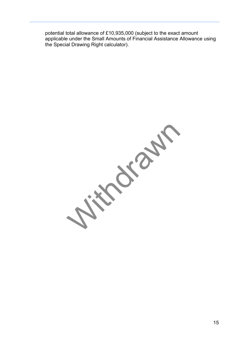potential total allowance of £10,935,000 (subject to the exact amount applicable under the Small Amounts of Financial Assistance Allowance using the Special Drawing Right calculator).

With the Content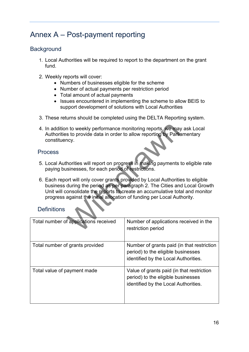# <span id="page-15-0"></span>Annex A – Post-payment reporting

#### <span id="page-15-1"></span>**Background**

- 1. Local Authorities will be required to report to the department on the grant fund.
- 2. Weekly reports will cover:
	- Numbers of businesses eligible for the scheme
	- Number of actual payments per restriction period
	- Total amount of actual payments
	- Issues encountered in implementing the scheme to allow BEIS to support development of solutions with Local Authorities
- 3. These returns should be completed using the DELTA Reporting system.
- 4. In addition to weekly performance monitoring reports, we may ask Local Authorities to provide data in order to allow reporting by Parliamentary constituency.

#### <span id="page-15-2"></span>Process

- 5. Local Authorities will report on progress in making payments to eligible rate paying businesses, for each period of restrictions.
- In to weekly performance monitoring reports, we may<br>is to provide data in order to allow reporting by Parlia<br>ncy.<br>Anoticies will report on progress in making payments<br>isinesses, for each period of restrictions.<br>Doct will o 6. Each report will only cover grants provided by Local Authorities to eligible business during the period as per paragraph 2. The Cities and Local Growth Unit will consolidate the reports to create an accumulative total and monitor progress against the initial allocation of funding per Local Authority.

#### <span id="page-15-3"></span>**Definitions**

| Total number of applications received | Number of applications received in the<br>restriction period                                                             |
|---------------------------------------|--------------------------------------------------------------------------------------------------------------------------|
| Total number of grants provided       | Number of grants paid (in that restriction<br>period) to the eligible businesses<br>identified by the Local Authorities. |
| Total value of payment made           | Value of grants paid (in that restriction<br>period) to the eligible businesses<br>identified by the Local Authorities.  |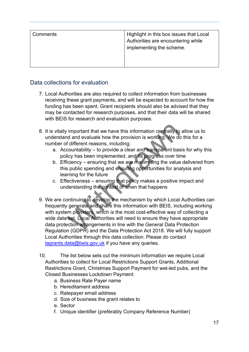| implementing the scheme. | Comments | Highlight in this box issues that Local<br>Authorities are encountering while |
|--------------------------|----------|-------------------------------------------------------------------------------|
|--------------------------|----------|-------------------------------------------------------------------------------|

#### <span id="page-16-0"></span>Data collections for evaluation

- 7. Local Authorities are also required to collect information from businesses receiving these grant payments, and will be expected to account for how the funding has been spent. Grant recipients should also be advised that they may be contacted for research purposes, and that their data will be shared with BEIS for research and evaluation purposes.
- 8. It is vitally important that we have this information centrally to allow us to understand and evaluate how the provision is working. We do this for a number of different reasons, including;
	- a. Accountability to provide a clear and transparent basis for why this policy has been implemented, and its progress over time
	- b. Efficiency ensuring that we are maximising the value delivered from this public spending and ensuring opportunities for analysis and learning for the future
	- c. Effectiveness ensuring that policy makes a positive impact and understanding the context of when that happens
- v important that we have this information centrally to<br>d and evaluate how the provision is working. We do<br>f different reasons, including;<br>countability to provide a clear and transparent bas<br>licy has been implemented, and 9. We are continuing to develop the mechanism by which Local Authorities can frequently generate and share this information with BEIS, including working with system providers, which is the most cost-effective way of collecting a wide data set. Local Authorities will need to ensure they have appropriate data protection arrangements in line with the General Data Protection Regulation (GDPR) and the Data Protection Act 2018. We will fully support Local Authorities through this data collection. Please do contact [lagrants.data@beis.gov.uk](mailto:lagrants.data@beis.gov.uk) if you have any queries.
- 10. The list below sets out the minimum information we require Local Authorities to collect for Local Restrictions Support Grants, Additional Restrictions Grant, Christmas Support Payment for wet-led pubs, and the Closed Businesses Lockdown Payment:
	- a. Business Rate Payer name
	- b. Hereditament address
	- c. Ratepayer email address
	- d. Size of business the grant relates to
	- e. Sector
	- f. Unique identifier (preferably Company Reference Number)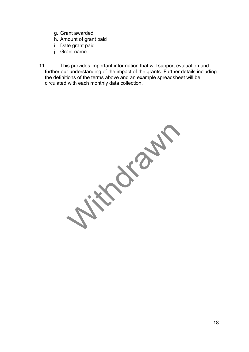- g. Grant awarded
- h. Amount of grant paid
- i. Date grant paid
- j. Grant name
- 11. This provides important information that will support evaluation and further our understanding of the impact of the grants. Further details including the definitions of the terms above and an example spreadsheet will be circulated with each monthly data collection.